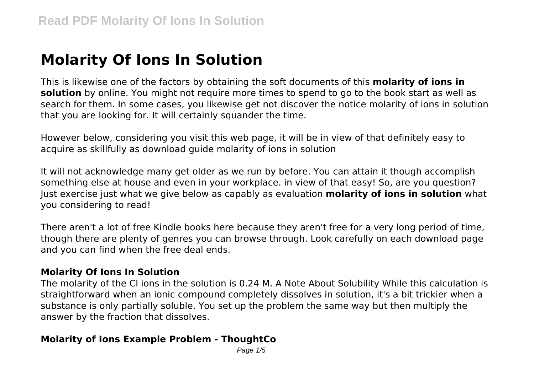# **Molarity Of Ions In Solution**

This is likewise one of the factors by obtaining the soft documents of this **molarity of ions in solution** by online. You might not require more times to spend to go to the book start as well as search for them. In some cases, you likewise get not discover the notice molarity of ions in solution that you are looking for. It will certainly squander the time.

However below, considering you visit this web page, it will be in view of that definitely easy to acquire as skillfully as download guide molarity of ions in solution

It will not acknowledge many get older as we run by before. You can attain it though accomplish something else at house and even in your workplace. in view of that easy! So, are you question? Just exercise just what we give below as capably as evaluation **molarity of ions in solution** what you considering to read!

There aren't a lot of free Kindle books here because they aren't free for a very long period of time, though there are plenty of genres you can browse through. Look carefully on each download page and you can find when the free deal ends.

#### **Molarity Of Ions In Solution**

The molarity of the Cl ions in the solution is 0.24 M. A Note About Solubility While this calculation is straightforward when an ionic compound completely dissolves in solution, it's a bit trickier when a substance is only partially soluble. You set up the problem the same way but then multiply the answer by the fraction that dissolves.

## **Molarity of Ions Example Problem - ThoughtCo**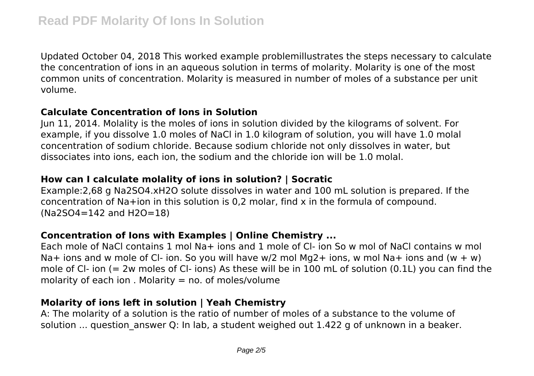Updated October 04, 2018 This worked example problemillustrates the steps necessary to calculate the concentration of ions in an aqueous solution in terms of molarity. Molarity is one of the most common units of concentration. Molarity is measured in number of moles of a substance per unit volume.

#### **Calculate Concentration of Ions in Solution**

Jun 11, 2014. Molality is the moles of ions in solution divided by the kilograms of solvent. For example, if you dissolve 1.0 moles of NaCl in 1.0 kilogram of solution, you will have 1.0 molal concentration of sodium chloride. Because sodium chloride not only dissolves in water, but dissociates into ions, each ion, the sodium and the chloride ion will be 1.0 molal.

## **How can I calculate molality of ions in solution? | Socratic**

Example:2,68 g Na2SO4.xH2O solute dissolves in water and 100 mL solution is prepared. If the concentration of Na+ion in this solution is 0,2 molar, find x in the formula of compound. (Na2SO4=142 and H2O=18)

# **Concentration of Ions with Examples | Online Chemistry ...**

Each mole of NaCl contains 1 mol Na+ ions and 1 mole of Cl- ion So w mol of NaCl contains w mol Na+ ions and w mole of CI- ion. So you will have w/2 mol Mg2+ ions, w mol Na+ ions and (w + w) mole of Cl- ion (= 2w moles of Cl- ions) As these will be in 100 mL of solution (0.1L) you can find the molarity of each ion . Molarity  $=$  no. of moles/volume

# **Molarity of ions left in solution | Yeah Chemistry**

A: The molarity of a solution is the ratio of number of moles of a substance to the volume of solution ... question answer Q: In lab, a student weighed out 1.422 g of unknown in a beaker.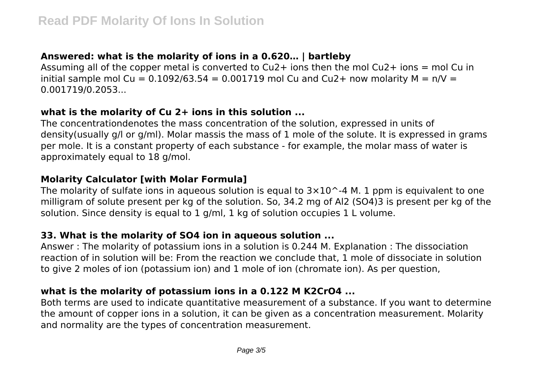# **Answered: what is the molarity of ions in a 0.620… | bartleby**

Assuming all of the copper metal is converted to  $Cu2+$  ions then the mol  $Cu2+$  ions = mol Cu in initial sample mol Cu =  $0.1092/63.54 = 0.001719$  mol Cu and Cu2+ now molarity M =  $n/V =$ 0.001719/0.2053...

#### **what is the molarity of Cu 2+ ions in this solution ...**

The concentrationdenotes the mass concentration of the solution, expressed in units of density(usually g/l or g/ml). Molar massis the mass of 1 mole of the solute. It is expressed in grams per mole. It is a constant property of each substance - for example, the molar mass of water is approximately equal to 18 g/mol.

## **Molarity Calculator [with Molar Formula]**

The molarity of sulfate ions in aqueous solution is equal to  $3\times10$  ^-4 M. 1 ppm is equivalent to one milligram of solute present per kg of the solution. So, 34.2 mg of Al2 (SO4)3 is present per kg of the solution. Since density is equal to 1 g/ml, 1 kg of solution occupies 1 L volume.

#### **33. What is the molarity of SO4 ion in aqueous solution ...**

Answer : The molarity of potassium ions in a solution is 0.244 M. Explanation : The dissociation reaction of in solution will be: From the reaction we conclude that, 1 mole of dissociate in solution to give 2 moles of ion (potassium ion) and 1 mole of ion (chromate ion). As per question,

## **what is the molarity of potassium ions in a 0.122 M K2CrO4 ...**

Both terms are used to indicate quantitative measurement of a substance. If you want to determine the amount of copper ions in a solution, it can be given as a concentration measurement. Molarity and normality are the types of concentration measurement.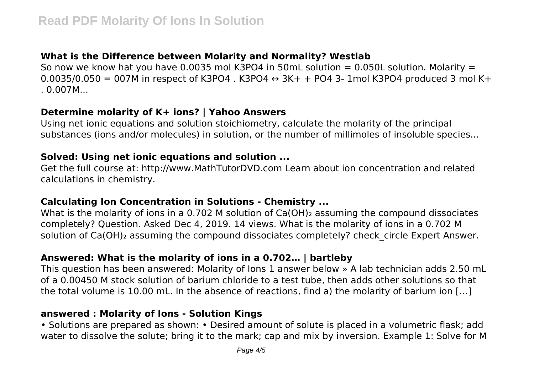## **What is the Difference between Molarity and Normality? Westlab**

So now we know hat you have 0.0035 mol K3PO4 in 50mL solution =  $0.050$ L solution. Molarity =  $0.0035/0.050 = 007M$  in respect of K3PO4 . K3PO4  $\leftrightarrow$  3K+ + PO4 3- 1mol K3PO4 produced 3 mol K+  $.0.007M...$ 

#### **Determine molarity of K+ ions? | Yahoo Answers**

Using net ionic equations and solution stoichiometry, calculate the molarity of the principal substances (ions and/or molecules) in solution, or the number of millimoles of insoluble species...

#### **Solved: Using net ionic equations and solution ...**

Get the full course at: http://www.MathTutorDVD.com Learn about ion concentration and related calculations in chemistry.

## **Calculating Ion Concentration in Solutions - Chemistry ...**

What is the molarity of ions in a 0.702 M solution of Ca(OH)<sub>2</sub> assuming the compound dissociates completely? Question. Asked Dec 4, 2019. 14 views. What is the molarity of ions in a 0.702 M solution of Ca(OH)<sub>2</sub> assuming the compound dissociates completely? check circle Expert Answer.

# **Answered: What is the molarity of ions in a 0.702… | bartleby**

This question has been answered: Molarity of Ions 1 answer below » A lab technician adds 2.50 mL of a 0.00450 M stock solution of barium chloride to a test tube, then adds other solutions so that the total volume is 10.00 mL. In the absence of reactions, find a) the molarity of barium ion […]

#### **answered : Molarity of Ions - Solution Kings**

• Solutions are prepared as shown: • Desired amount of solute is placed in a volumetric flask; add water to dissolve the solute; bring it to the mark; cap and mix by inversion. Example 1: Solve for M